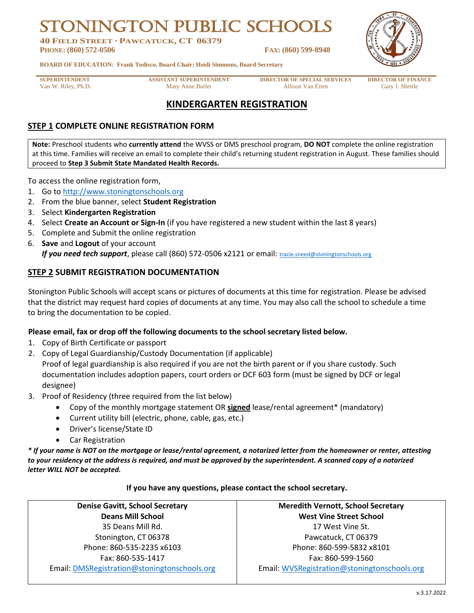# **N PUBLIC SCH**

**40 FIELD STREET · PAWCATUCK, CT 06379 PHONE: (860) 572-0506 FAX: (860) 599-8948**



**BOARD OF EDUCATION: Frank Todisco, Board Chair; Heidi Simmons, Board Secretary**

**SUPERINTENDENT ASSISTANT SUPERINTENDENT DIRECTOR OF SPECIAL SERVICES DIRECTOR OF FINANCE** Van W. Riley, Ph.D. Gary J. Shettle Mary Anne Butler Allison Van Etten Gary J. Shettle

# **KINDERGARTEN REGISTRATION**

# **STEP 1 COMPLETE ONLINE REGISTRATION FORM**

**Note:** Preschool students who **currently attend** the WVSS or DMS preschool program, **DO NOT** complete the online registration at this time. Families will receive an email to complete their child's returning student registration in August. These families should proceed to **Step 3 Submit State Mandated Health Records.**

To access the online registration form,

- 1. Go to [http://www.stoningtonschools.org](http://www.stoningtonschools.org/)
- 2. From the blue banner, select **Student Registration**
- 3. Select **Kindergarten Registration**
- 4. Select **Create an Account or Sign-In** (if you have registered a new student within the last 8 years)
- 5. Complete and Submit the online registration
- 6. **Save** and **Logout** of your account *If you need tech support*, please call (860) 572-0506 x2121 or email: [tracie.sneed@stoningtonschools.org](mailto:tracie.sneed@stoningtonschools.org)

## **STEP 2 SUBMIT REGISTRATION DOCUMENTATION**

Stonington Public Schools will accept scans or pictures of documents at this time for registration. Please be advised that the district may request hard copies of documents at any time. You may also call the school to schedule a time to bring the documentation to be copied.

#### **Please email, fax or drop off the following documents to the school secretary listed below.**

- 1. Copy of Birth Certificate or passport
- 2. Copy of Legal Guardianship/Custody Documentation (if applicable)

Proof of legal guardianship is also required if you are not the birth parent or if you share custody. Such documentation includes adoption papers, court orders or DCF 603 form (must be signed by DCF or legal designee)

- 3. Proof of Residency (three required from the list below)
	- Copy of the monthly mortgage statement OR **signed** lease/rental agreement\* (mandatory)
	- Current utility bill (electric, phone, cable, gas, etc.)
	- Driver's license/State ID
	- Car Registration

*\* If your name is NOT on the mortgage or lease/rental agreement, a notarized letter from the homeowner or renter, attesting to your residency at the address is required, and must be approved by the superintendent. A scanned copy of a notarized letter WILL NOT be accepted.* 

#### **If you have any questions, please contact the school secretary.**

| <b>Denise Gavitt, School Secretary</b>       | <b>Meredith Vernott, School Secretary</b>    |
|----------------------------------------------|----------------------------------------------|
| <b>Deans Mill School</b>                     | <b>West Vine Street School</b>               |
| 35 Deans Mill Rd.                            | 17 West Vine St.                             |
| Stonington, CT 06378                         | Pawcatuck, CT 06379                          |
| Phone: 860-535-2235 x6103                    | Phone: 860-599-5832 x8101                    |
| Fax: 860-535-1417                            | Fax: 860-599-1560                            |
| Email: DMSRegistration@stoningtonschools.org | Email: WVSRegistration@stoningtonschools.org |